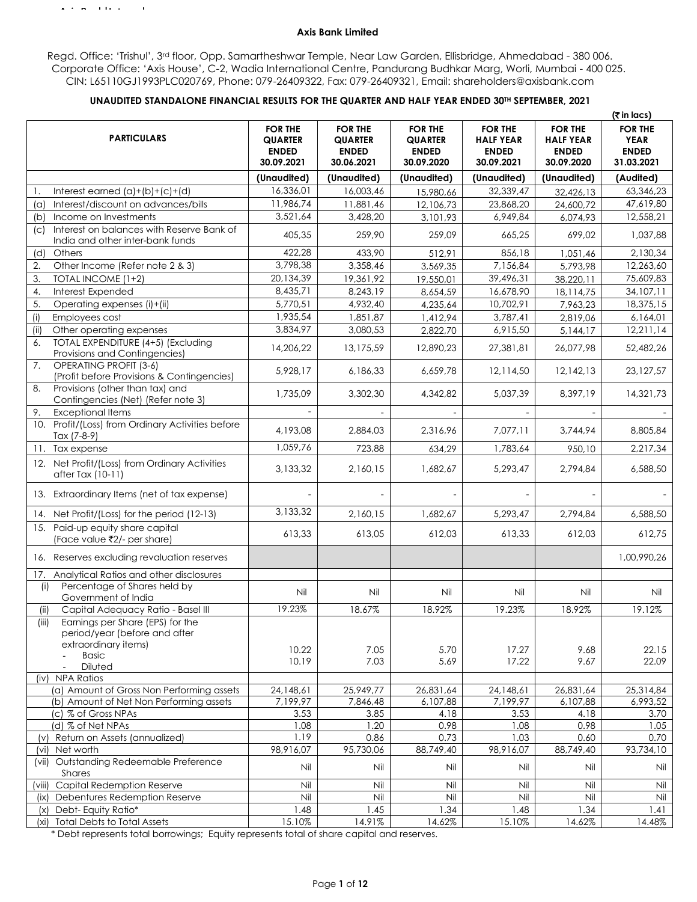#### **Axis Bank Limited**

Regd. Office: 'Trishul', 3rd floor, Opp. Samartheshwar Temple, Near Law Garden, Ellisbridge, Ahmedabad - 380 006. Corporate Office: 'Axis House', C-2, Wadia International Centre, Pandurang Budhkar Marg, Worli, Mumbai - 400 025. CIN: L65110GJ1993PLC020769, Phone: 079-26409322, Fax: 079-26409321, Email: shareholders@axisbank.com

# **UNAUDITED STANDALONE FINANCIAL RESULTS FOR THE QUARTER AND HALF YEAR ENDED 30TH SEPTEMBER, 2021**

|                                                                                                                    |                       |                         |                |                  |                  | (रैं in lacs)  |
|--------------------------------------------------------------------------------------------------------------------|-----------------------|-------------------------|----------------|------------------|------------------|----------------|
|                                                                                                                    | <b>FOR THE</b>        | <b>FOR THE</b>          | <b>FOR THE</b> | <b>FOR THE</b>   | <b>FOR THE</b>   | <b>FOR THE</b> |
| <b>PARTICULARS</b>                                                                                                 | <b>QUARTER</b>        | <b>QUARTER</b>          | <b>QUARTER</b> | <b>HALF YEAR</b> | <b>HALF YEAR</b> | <b>YEAR</b>    |
|                                                                                                                    | <b>ENDED</b>          | <b>ENDED</b>            | <b>ENDED</b>   | <b>ENDED</b>     | <b>ENDED</b>     | <b>ENDED</b>   |
|                                                                                                                    | 30.09.2021            | 30.06.2021              | 30.09.2020     | 30.09.2021       | 30.09.2020       | 31.03.2021     |
|                                                                                                                    | (Unaudited)           | (Unaudited)             | (Unaudited)    | (Unaudited)      | (Unaudited)      | (Audited)      |
| Interest earned $(a)+(b)+(c)+(d)$                                                                                  | 16,336,01             | 16,003,46               | 15,980,66      | 32,339,47        | 32,426,13        | 63,346,23      |
| Interest/discount on advances/bills<br>(a)                                                                         | 11,986,74             | $\overline{11}$ ,881,46 | 12,106,73      | 23,868,20        | 24,600,72        | 47,619,80      |
| Income on Investments<br>(b)                                                                                       | 3,521,64              | 3,428,20                | 3,101,93       | 6,949,84         | 6,074,93         | 12,558,21      |
| Interest on balances with Reserve Bank of<br>(C)                                                                   |                       |                         |                |                  |                  |                |
| India and other inter-bank funds                                                                                   | 405,35                | 259,90                  | 259,09         | 665,25           | 699,02           | 1,037,88       |
| Others<br>(d)                                                                                                      | 422,28                | 433,90                  | 512,91         | 856,18           | 1,051,46         | 2,130,34       |
| 2.<br>Other Income (Refer note 2 & 3)                                                                              | 3,798,38              | 3,358,46                | 3,569,35       | 7,156,84         | 5,793,98         | 12,263,60      |
| <b>TOTAL INCOME (1+2)</b><br>3.                                                                                    | 20,134,39             | 19,361,92               | 19,550,01      | 39,496,31        | 38,220,11        | 75,609,83      |
| Interest Expended<br>4.                                                                                            | 8,435,71              | 8,243,19                | 8,654,59       | 16,678,90        | 18,114,75        | 34,107,11      |
| 5.<br>Operating expenses (i)+(ii)                                                                                  | $\overline{5,770,51}$ | 4,932,40                | 4,235,64       | 10,702,91        | 7,963,23         | 18,375,15      |
| Employees cost<br>(i)                                                                                              | 1,935,54              | 1,851,87                | 1,412,94       | 3,787,41         | 2,819,06         | 6,164,01       |
| (ii)<br>Other operating expenses                                                                                   | 3,834,97              | 3,080,53                |                | 6,915,50         |                  | 12,211,14      |
| TOTAL EXPENDITURE (4+5) (Excluding<br>6.                                                                           |                       |                         | 2,822,70       |                  | 5,144,17         |                |
| Provisions and Contingencies)                                                                                      | 14,206,22             | 13,175,59               | 12,890,23      | 27,381,81        | 26,077,98        | 52,482,26      |
| 7.<br><b>OPERATING PROFIT (3-6)</b><br>(Profit before Provisions & Contingencies)                                  | 5,928,17              | 6,186,33                | 6,659,78       | 12,114,50        | 12,142,13        | 23,127,57      |
| Provisions (other than tax) and<br>8.<br>Contingencies (Net) (Refer note 3)                                        | 1,735,09              | 3,302,30                | 4,342,82       | 5.037.39         | 8.397.19         | 14,321,73      |
| <b>Exceptional Items</b><br>9.                                                                                     |                       |                         |                |                  |                  |                |
| 10. Profit/(Loss) from Ordinary Activities before<br>Tax (7-8-9)                                                   | 4,193,08              | 2,884,03                | 2,316,96       | 7,077,11         | 3,744,94         | 8,805,84       |
| 11. Tax expense                                                                                                    | 1,059,76              | 723,88                  | 634,29         | 1,783,64         | 950,10           | 2,217,34       |
| 12. Net Profit/(Loss) from Ordinary Activities<br>after Tax (10-11)                                                | 3,133,32              | 2,160,15                | 1,682,67       | 5,293,47         | 2,794,84         | 6,588,50       |
| 13. Extraordinary Items (net of tax expense)                                                                       |                       |                         |                |                  |                  |                |
| 14. Net Profit/(Loss) for the period (12-13)                                                                       | 3,133,32              | 2,160,15                | 1,682,67       | 5,293,47         | 2,794,84         | 6,588,50       |
| 15. Paid-up equity share capital<br>(Face value ₹2/- per share)                                                    | 613,33                | 613,05                  | 612,03         | 613,33           | 612,03           | 612,75         |
| 16. Reserves excluding revaluation reserves                                                                        |                       |                         |                |                  |                  | 1,00,990,26    |
|                                                                                                                    |                       |                         |                |                  |                  |                |
| Analytical Ratios and other disclosures<br>17.<br>Percentage of Shares held by                                     |                       |                         |                |                  |                  |                |
| (i)<br>Government of India                                                                                         | Nil                   | Nil                     | Nil            | Nil              | Nil              | Nil            |
| Capital Adequacy Ratio - Basel III<br>(ii)                                                                         | 19.23%                | 18.67%                  | 18.92%         | 19.23%           | 18.92%           | 19.12%         |
| Earnings per Share (EPS) for the<br>(iii)<br>period/year (before and after<br>extraordinary items)<br><b>Basic</b> | 10.22                 | 7.05                    | 5.70           | 17.27            | 9.68             | 22.15          |
| Diluted                                                                                                            | 10.19                 | 7.03                    | 5.69           | 17.22            | 9.67             | 22.09          |
| <b>NPA Ratios</b><br>(iv)                                                                                          |                       |                         |                |                  |                  |                |
| (a) Amount of Gross Non Performing assets                                                                          | 24,148,61             | 25,949,77               | 26,831,64      | 24,148,61        | 26,831,64        | 25,314,84      |
| (b) Amount of Net Non Performing assets                                                                            | 7,199,97              | 7,846,48                | 6,107,88       | 7,199,97         | 6,107,88         | 6,993,52       |
| (c) % of Gross NPAs                                                                                                | 3.53                  | 3.85                    | 4.18           | 3.53             | 4.18             | 3.70           |
| (d) % of Net NPAs                                                                                                  | 1.08                  | 1.20                    | 0.98           | 1.08             | 0.98             | 1.05           |
| Return on Assets (annualized)<br>(v)                                                                               | 1.19                  | 0.86                    | 0.73           | 1.03             | 0.60             | 0.70           |
| Net worth<br>(vi)                                                                                                  | 98,916,07             | 95,730,06               | 88,749,40      | 98,916,07        | 88,749,40        | 93,734,10      |
| (vii) Outstanding Redeemable Preference<br>Shares                                                                  | Nil                   | Nil                     | Nil            | Nil              | Nil              | Nil            |
| Capital Redemption Reserve<br>(viii)                                                                               | Nil                   | Nil                     | Nil            | Nil              | Nil              | Nil            |
| Debentures Redemption Reserve<br>$(i \times)$                                                                      | Nil                   | Nil                     | Nil            | Nil              | Nil              | Nil            |
| Debt-Equity Ratio*<br>(x)                                                                                          | 1.48                  | 1.45                    | 1.34           | 1.48             | 1.34             | 1.41           |
| <b>Total Debts to Total Assets</b><br>(xi)                                                                         | $15.10\%$             | 14.91%                  | 14.62%         | 15.10%           | 14.62%           | 14.48%         |
|                                                                                                                    |                       |                         |                |                  |                  |                |

Debt represents total borrowings; Equity represents total of share capital and reserves.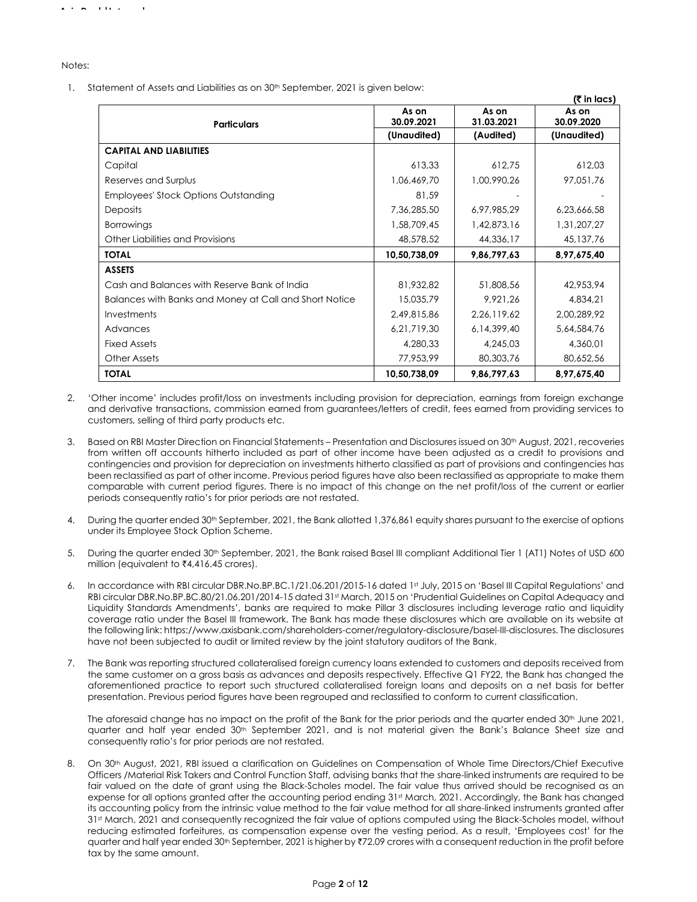Notes:

1. Statement of Assets and Liabilities as on 30<sup>th</sup> September, 2021 is given below:

|                                                        |                     |                     | (₹ in lacs)         |
|--------------------------------------------------------|---------------------|---------------------|---------------------|
| <b>Particulars</b>                                     | As on<br>30.09.2021 | As on<br>31.03.2021 | As on<br>30.09.2020 |
|                                                        | (Unaudited)         | (Audited)           | (Unaudited)         |
| <b>CAPITAL AND LIABILITIES</b>                         |                     |                     |                     |
| Capital                                                | 613,33              | 612,75              | 612,03              |
| Reserves and Surplus                                   | 1,06,469,70         | 1,00,990,26         | 97,051,76           |
| Employees' Stock Options Outstanding                   | 81.59               |                     |                     |
| <b>Deposits</b>                                        | 7,36,285,50         | 6,97,985,29         | 6,23,666,58         |
| <b>Borrowings</b>                                      | 1,58,709,45         | 1,42,873,16         | 1,31,207,27         |
| Other Liabilities and Provisions                       | 48,578,52           | 44,336,17           | 45,137,76           |
| <b>TOTAL</b>                                           | 10,50,738,09        | 9,86,797,63         | 8,97,675,40         |
| <b>ASSETS</b>                                          |                     |                     |                     |
| Cash and Balances with Reserve Bank of India           | 81,932,82           | 51,808,56           | 42,953,94           |
| Balances with Banks and Money at Call and Short Notice | 15,035,79           | 9,921,26            | 4,834,21            |
| Investments                                            | 2,49,815,86         | 2,26,119,62         | 2,00,289,92         |
| Advances                                               | 6,21,719,30         | 6, 14, 399, 40      | 5,64,584,76         |
| <b>Fixed Assets</b>                                    | 4,280,33            | 4,245,03            | 4,360,01            |
| <b>Other Assets</b>                                    | 77,953,99           | 80,303,76           | 80,652,56           |
| <b>TOTAL</b>                                           | 10,50,738,09        | 9,86,797,63         | 8,97,675,40         |

- 2. 'Other income' includes profit/loss on investments including provision for depreciation, earnings from foreign exchange and derivative transactions, commission earned from guarantees/letters of credit, fees earned from providing services to customers, selling of third party products etc.
- 3. Based on RBI Master Direction on Financial Statements Presentation and Disclosures issued on 30<sup>th</sup> August, 2021, recoveries from written off accounts hitherto included as part of other income have been adjusted as a credit to provisions and contingencies and provision for depreciation on investments hitherto classified as part of provisions and contingencies has been reclassified as part of other income. Previous period figures have also been reclassified as appropriate to make them comparable with current period figures. There is no impact of this change on the net profit/loss of the current or earlier periods consequently ratio's for prior periods are not restated.
- 4. During the quarter ended 30<sup>th</sup> September, 2021, the Bank allotted 1,376,861 equity shares pursuant to the exercise of options under its Employee Stock Option Scheme.
- 5. During the quarter ended 30<sup>th</sup> September, 2021, the Bank raised Basel III compliant Additional Tier 1 (AT1) Notes of USD 600 million (equivalent to  $\bar{\tau}$ 4,416.45 crores).
- 6. In accordance with RBI circular DBR.No.BP.BC.1/21.06.201/2015-16 dated 1st July, 2015 on 'Basel III Capital Regulations' and RBI circular DBR.No.BP.BC.80/21.06.201/2014-15 dated 31st March, 2015 on 'Prudential Guidelines on Capital Adequacy and Liquidity Standards Amendments', banks are required to make Pillar 3 disclosures including leverage ratio and liquidity coverage ratio under the Basel III framework. The Bank has made these disclosures which are available on its website at the following link: https://www.axisbank.com/shareholders-corner/regulatory-disclosure/basel-III-disclosures. The disclosures have not been subjected to audit or limited review by the joint statutory auditors of the Bank.
- 7. The Bank was reporting structured collateralised foreign currency loans extended to customers and deposits received from the same customer on a gross basis as advances and deposits respectively. Effective Q1 FY22, the Bank has changed the aforementioned practice to report such structured collateralised foreign loans and deposits on a net basis for better presentation. Previous period figures have been regrouped and reclassified to conform to current classification.

The aforesaid change has no impact on the profit of the Bank for the prior periods and the quarter ended 30<sup>th</sup> June 2021, quarter and half year ended 30th September 2021, and is not material given the Bank's Balance Sheet size and consequently ratio's for prior periods are not restated.

8. On 30th August, 2021, RBI issued a clarification on Guidelines on Compensation of Whole Time Directors/Chief Executive Officers /Material Risk Takers and Control Function Staff, advising banks that the share-linked instruments are required to be fair valued on the date of grant using the Black-Scholes model. The fair value thus arrived should be recognised as an expense for all options granted after the accounting period ending 31st March, 2021. Accordingly, the Bank has changed its accounting policy from the intrinsic value method to the fair value method for all share-linked instruments granted after 31st March, 2021 and consequently recognized the fair value of options computed using the Black-Scholes model, without reducing estimated forfeitures, as compensation expense over the vesting period. As a result, 'Employees cost' for the quarter and half year ended 30<sup>th</sup> September, 2021 is higher by ₹72.09 crores with a consequent reduction in the profit before tax by the same amount.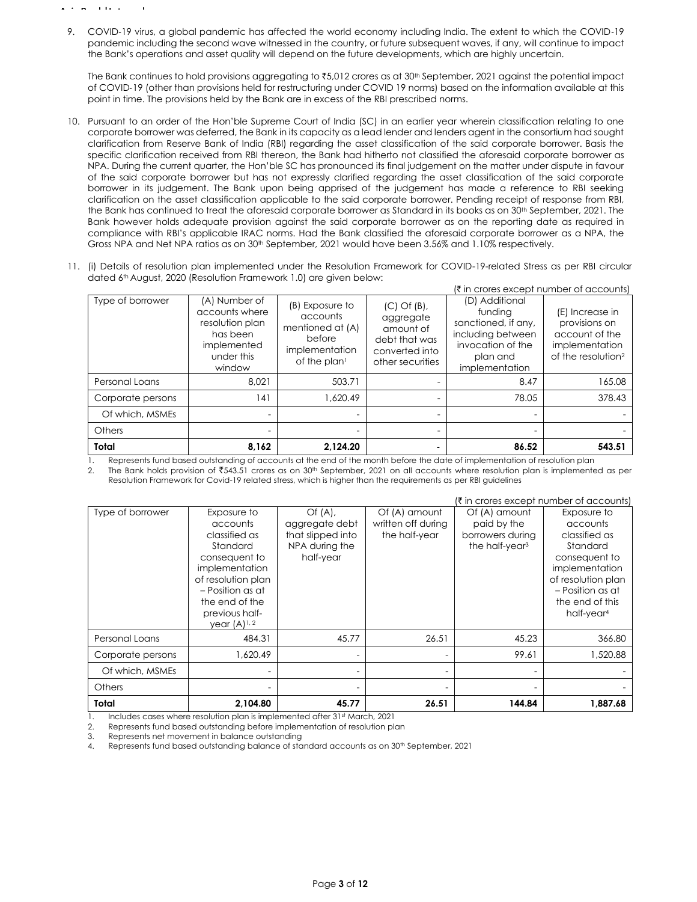9. COVID‐19 virus, a global pandemic has affected the world economy including India. The extent to which the COVID‐19 pandemic including the second wave witnessed in the country, or future subsequent waves, if any, will continue to impact the Bank's operations and asset quality will depend on the future developments, which are highly uncertain.

The Bank continues to hold provisions aggregating to ₹5,012 crores as at 30<sup>th</sup> September, 2021 against the potential impact of COVID‐19 (other than provisions held for restructuring under COVID 19 norms) based on the information available at this point in time. The provisions held by the Bank are in excess of the RBI prescribed norms.

- 10. Pursuant to an order of the Hon'ble Supreme Court of India (SC) in an earlier year wherein classification relating to one corporate borrower was deferred, the Bank in its capacity as a lead lender and lenders agent in the consortium had sought clarification from Reserve Bank of India (RBI) regarding the asset classification of the said corporate borrower. Basis the specific clarification received from RBI thereon, the Bank had hitherto not classified the aforesaid corporate borrower as NPA. During the current quarter, the Hon'ble SC has pronounced its final judgement on the matter under dispute in favour of the said corporate borrower but has not expressly clarified regarding the asset classification of the said corporate borrower in its judgement. The Bank upon being apprised of the judgement has made a reference to RBI seeking clarification on the asset classification applicable to the said corporate borrower. Pending receipt of response from RBI, the Bank has continued to treat the aforesaid corporate borrower as Standard in its books as on 30th September, 2021. The Bank however holds adequate provision against the said corporate borrower as on the reporting date as required in compliance with RBI's applicable IRAC norms. Had the Bank classified the aforesaid corporate borrower as a NPA, the Gross NPA and Net NPA ratios as on 30<sup>th</sup> September, 2021 would have been 3.56% and 1.10% respectively.
- 11. (i) Details of resolution plan implemented under the Resolution Framework for COVID-19-related Stress as per RBI circular dated 6th August, 2020 (Resolution Framework 1.0) are given below:

|                   |                                                                                                       |                                                                                             |                                                                                                   | (₹ in crores except number of accounts)                                                                                  |                                                                                                        |
|-------------------|-------------------------------------------------------------------------------------------------------|---------------------------------------------------------------------------------------------|---------------------------------------------------------------------------------------------------|--------------------------------------------------------------------------------------------------------------------------|--------------------------------------------------------------------------------------------------------|
| Type of borrower  | (A) Number of<br>accounts where<br>resolution plan<br>has been<br>implemented<br>under this<br>window | (B) Exposure to<br>accounts<br>mentioned at (A)<br>before<br>implementation<br>of the plan! | $(C)$ Of $(B)$ ,<br>aggregate<br>amount of<br>debt that was<br>converted into<br>other securities | (D) Additional<br>funding<br>sanctioned, if any,<br>including between<br>invocation of the<br>plan and<br>implementation | (E) Increase in<br>provisions on<br>account of the<br>implementation<br>of the resolution <sup>2</sup> |
| Personal Loans    | 8.021                                                                                                 | 503.71                                                                                      |                                                                                                   | 8.47                                                                                                                     | 165.08                                                                                                 |
| Corporate persons | 4                                                                                                     | 1,620.49                                                                                    | $\overline{\phantom{a}}$                                                                          | 78.05                                                                                                                    | 378.43                                                                                                 |
| Of which, MSMEs   |                                                                                                       |                                                                                             |                                                                                                   |                                                                                                                          |                                                                                                        |
| <b>Others</b>     |                                                                                                       |                                                                                             | $\overline{\phantom{0}}$                                                                          | $\overline{\phantom{0}}$                                                                                                 |                                                                                                        |
| Total             | 8,162                                                                                                 | 2,124.20                                                                                    | $\blacksquare$                                                                                    | 86.52                                                                                                                    | 543.51                                                                                                 |

1. Represents fund based outstanding of accounts at the end of the month before the date of implementation of resolution plan 2. The Bank holds provision of ₹543.51 crores as on 30<sup>th</sup> September, 2021 on all accounts where resolution plan is implemented as per Resolution Framework for Covid-19 related stress, which is higher than the requirements as per RBI guidelines

|                   |                                                                                                                                                                                                    |                                                                               |                                                      |                                                                                | (₹ in crores except number of accounts)                                                                                                                                        |
|-------------------|----------------------------------------------------------------------------------------------------------------------------------------------------------------------------------------------------|-------------------------------------------------------------------------------|------------------------------------------------------|--------------------------------------------------------------------------------|--------------------------------------------------------------------------------------------------------------------------------------------------------------------------------|
| Type of borrower  | Exposure to<br>accounts<br>classified as<br>Standard<br>consequent to<br>implementation<br>of resolution plan<br>- Position as at<br>the end of the<br>previous half-<br>year $(A)$ <sup>1,2</sup> | Of (A),<br>aggregate debt<br>that slipped into<br>NPA during the<br>half-year | Of (A) amount<br>written off during<br>the half-year | Of (A) amount<br>paid by the<br>borrowers during<br>the half-year <sup>3</sup> | Exposure to<br>accounts<br>classified as<br>Standard<br>consequent to<br>implementation<br>of resolution plan<br>- Position as at<br>the end of this<br>half-year <sup>4</sup> |
| Personal Loans    | 484.31                                                                                                                                                                                             | 45.77                                                                         | 26.51                                                | 45.23                                                                          | 366.80                                                                                                                                                                         |
| Corporate persons | 1,620.49                                                                                                                                                                                           |                                                                               | -                                                    | 99.61                                                                          | 1,520.88                                                                                                                                                                       |
| Of which, MSMEs   |                                                                                                                                                                                                    |                                                                               |                                                      |                                                                                |                                                                                                                                                                                |
| <b>Others</b>     |                                                                                                                                                                                                    |                                                                               | -                                                    |                                                                                |                                                                                                                                                                                |
| Total             | 2,104.80                                                                                                                                                                                           | 45.77                                                                         | 26.51                                                | 144.84                                                                         | 1.887.68                                                                                                                                                                       |

1. Includes cases where resolution plan is implemented after 31st March, 2021

2. Represents fund based outstanding before implementation of resolution plan

3. Represents net movement in balance outstanding

4. Represents fund based outstanding balance of standard accounts as on 30<sup>th</sup> September, 2021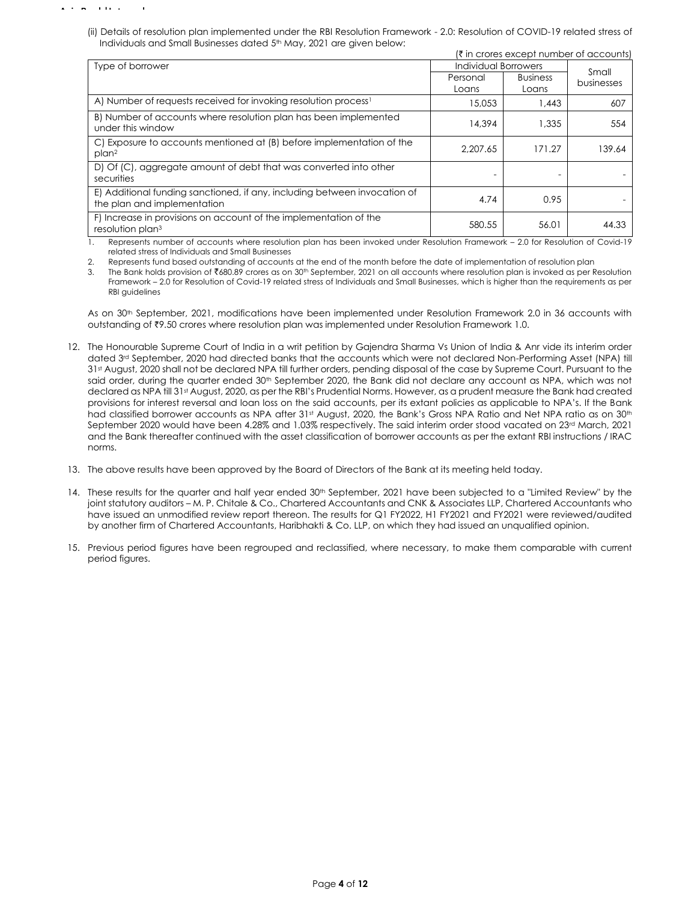(ii) Details of resolution plan implemented under the RBI Resolution Framework - 2.0: Resolution of COVID-19 related stress of Individuals and Small Businesses dated 5<sup>th</sup> May, 2021 are given below:

|                                                                                                                        |                             | (₹ in crores except number of accounts) |                                                                 |
|------------------------------------------------------------------------------------------------------------------------|-----------------------------|-----------------------------------------|-----------------------------------------------------------------|
| Type of borrower                                                                                                       | <b>Individual Borrowers</b> |                                         | Small                                                           |
|                                                                                                                        | Personal                    | <b>Business</b>                         | businesses                                                      |
|                                                                                                                        | Loans                       | Loans                                   |                                                                 |
| A) Number of requests received for invoking resolution process <sup>1</sup>                                            | 15,053                      | 1,443                                   | 607                                                             |
| B) Number of accounts where resolution plan has been implemented<br>under this window                                  | 14.394                      | 1.335                                   | 554                                                             |
| C) Exposure to accounts mentioned at (B) before implementation of the<br>plan <sup>2</sup>                             | 2.207.65                    | 171.27                                  | 139.64                                                          |
| D) Of (C), aggregate amount of debt that was converted into other<br>securities                                        |                             |                                         |                                                                 |
| E) Additional funding sanctioned, if any, including between invocation of<br>the plan and implementation               | 4.74                        | 0.95                                    |                                                                 |
| F) Increase in provisions on account of the implementation of the<br>resolution plan <sup>3</sup>                      | 580.55                      | 56.01                                   | 44.33                                                           |
| ■ Concerted to the control of the control of the control of the control of the control of the Free Free Control of the |                             |                                         | $0.05$ $\ldots$ $0.01$ $\ldots$ $0.01$ $\ldots$ $0.01$ $\ldots$ |

1. Represents number of accounts where resolution plan has been invoked under Resolution Framework – 2.0 for Resolution of Covid-19 related stress of Individuals and Small Businesses

2. Represents fund based outstanding of accounts at the end of the month before the date of implementation of resolution plan

3. The Bank holds provision of ₹680.89 crores as on 30<sup>th</sup> September, 2021 on all accounts where resolution plan is invoked as per Resolution Framework – 2.0 for Resolution of Covid-19 related stress of Individuals and Small Businesses, which is higher than the requirements as per RBI guidelines

As on 30<sup>th</sup> September, 2021, modifications have been implemented under Resolution Framework 2.0 in 36 accounts with outstanding of ₹9.50 crores where resolution plan was implemented under Resolution Framework 1.0.

- 12. The Honourable Supreme Court of India in a writ petition by Gajendra Sharma Vs Union of India & Anr vide its interim order dated 3rd September, 2020 had directed banks that the accounts which were not declared Non-Performing Asset (NPA) till 31st August, 2020 shall not be declared NPA till further orders, pending disposal of the case by Supreme Court. Pursuant to the said order, during the quarter ended 30<sup>th</sup> September 2020, the Bank did not declare any account as NPA, which was not declared as NPA till 31st August, 2020, as per the RBI's Prudential Norms. However, as a prudent measure the Bank had created provisions for interest reversal and loan loss on the said accounts, per its extant policies as applicable to NPA's. If the Bank had classified borrower accounts as NPA after 31st August, 2020, the Bank's Gross NPA Ratio and Net NPA ratio as on 30th September 2020 would have been 4.28% and 1.03% respectively. The said interim order stood vacated on 23rd March, 2021 and the Bank thereafter continued with the asset classification of borrower accounts as per the extant RBI instructions / IRAC norms.
- 13. The above results have been approved by the Board of Directors of the Bank at its meeting held today.
- 14. These results for the quarter and half year ended 30<sup>th</sup> September, 2021 have been subjected to a "Limited Review" by the joint statutory auditors – M. P. Chitale & Co., Chartered Accountants and CNK & Associates LLP, Chartered Accountants who have issued an unmodified review report thereon. The results for Q1 FY2022, H1 FY2021 and FY2021 were reviewed/audited by another firm of Chartered Accountants, Haribhakti & Co. LLP, on which they had issued an unqualified opinion.
- 15. Previous period figures have been regrouped and reclassified, where necessary, to make them comparable with current period figures.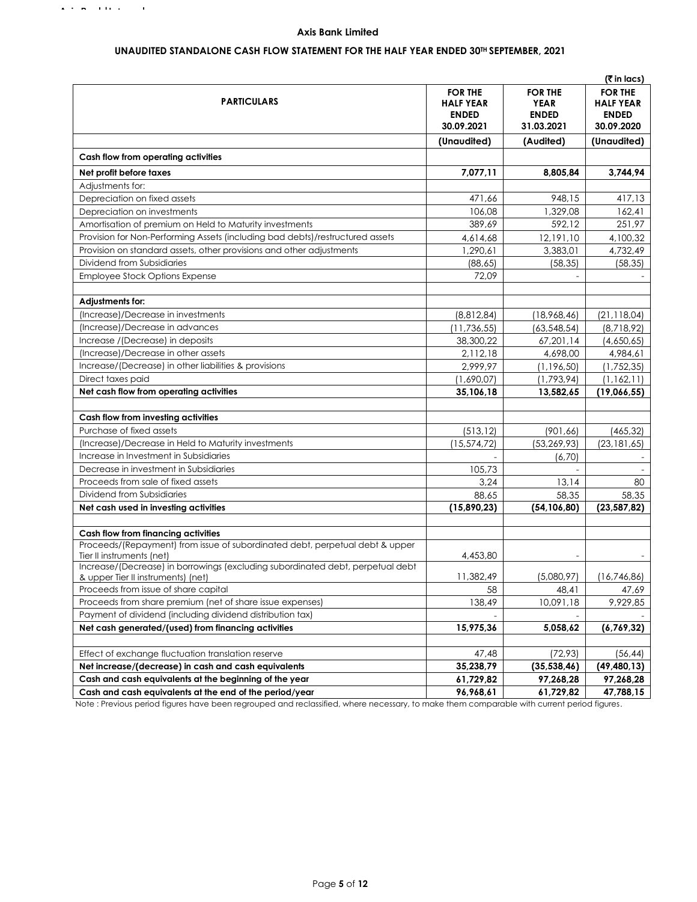### **Axis Bank Limited**

#### **UNAUDITED STANDALONE CASH FLOW STATEMENT FOR THE HALF YEAR ENDED 30TH SEPTEMBER, 2021**

|                                                                                                                            |                                                                  |                                                             | (₹ in lacs)                                                      |
|----------------------------------------------------------------------------------------------------------------------------|------------------------------------------------------------------|-------------------------------------------------------------|------------------------------------------------------------------|
| <b>PARTICULARS</b>                                                                                                         | <b>FOR THE</b><br><b>HALF YEAR</b><br><b>ENDED</b><br>30.09.2021 | <b>FOR THE</b><br><b>YEAR</b><br><b>ENDED</b><br>31.03.2021 | <b>FOR THE</b><br><b>HALF YEAR</b><br><b>ENDED</b><br>30.09.2020 |
|                                                                                                                            | (Unaudited)                                                      | (Audited)                                                   | (Unaudited)                                                      |
| Cash flow from operating activities                                                                                        |                                                                  |                                                             |                                                                  |
| Net profit before taxes                                                                                                    | 7,077,11                                                         | 8,805,84                                                    | 3,744,94                                                         |
| Adjustments for:                                                                                                           |                                                                  |                                                             |                                                                  |
| Depreciation on fixed assets                                                                                               | 471,66                                                           | 948,15                                                      | 417,13                                                           |
| Depreciation on investments                                                                                                | 106,08                                                           | 1,329,08                                                    | 162,41                                                           |
| Amortisation of premium on Held to Maturity investments                                                                    | 389,69                                                           | 592,12                                                      | 251,97                                                           |
| Provision for Non-Performing Assets (including bad debts)/restructured assets                                              | 4,614,68                                                         | 12,191,10                                                   | 4,100,32                                                         |
| Provision on standard assets, other provisions and other adjustments                                                       | 1,290,61                                                         | 3,383,01                                                    | 4,732,49                                                         |
| Dividend from Subsidiaries                                                                                                 | (88, 65)                                                         | (58, 35)                                                    | (58, 35)                                                         |
| <b>Employee Stock Options Expense</b>                                                                                      | 72,09                                                            |                                                             |                                                                  |
|                                                                                                                            |                                                                  |                                                             |                                                                  |
| <b>Adjustments for:</b>                                                                                                    |                                                                  |                                                             |                                                                  |
| (Increase)/Decrease in investments                                                                                         | (8,812,84)                                                       | (18,968,46)                                                 | (21, 118, 04)                                                    |
| (Increase)/Decrease in advances                                                                                            | (11, 736, 55)                                                    | (63, 548, 54)                                               | (8,718,92)                                                       |
| Increase /(Decrease) in deposits                                                                                           | 38,300,22                                                        | 67,201,14                                                   | (4,650,65)                                                       |
| (Increase)/Decrease in other assets                                                                                        | 2,112,18                                                         | 4,698,00                                                    | 4,984,61                                                         |
| Increase/(Decrease) in other liabilities & provisions                                                                      | 2,999,97                                                         | (1, 196, 50)                                                | (1,752,35)                                                       |
| Direct taxes paid                                                                                                          | (1,690,07)                                                       | (1,793,94)                                                  | (1,162,11)                                                       |
| Net cash flow from operating activities                                                                                    | 35,106,18                                                        | 13,582,65                                                   | (19,066,55)                                                      |
| Cash flow from investing activities                                                                                        |                                                                  |                                                             |                                                                  |
| Purchase of fixed assets                                                                                                   | (513, 12)                                                        | (901, 66)                                                   | (465, 32)                                                        |
| (Increase)/Decrease in Held to Maturity investments                                                                        | (15, 574, 72)                                                    | (53, 269, 93)                                               | (23, 181, 65)                                                    |
| Increase in Investment in Subsidiaries                                                                                     |                                                                  | (6,70)                                                      |                                                                  |
| Decrease in investment in Subsidiaries                                                                                     | 105,73                                                           |                                                             |                                                                  |
| Proceeds from sale of fixed assets                                                                                         | 3,24                                                             | 13,14                                                       | 80                                                               |
| Dividend from Subsidiaries                                                                                                 | 88,65                                                            | 58,35                                                       | 58,35                                                            |
| Net cash used in investing activities                                                                                      | (15,890,23)                                                      | (54, 106, 80)                                               | (23, 587, 82)                                                    |
|                                                                                                                            |                                                                  |                                                             |                                                                  |
| <b>Cash flow from financing activities</b><br>Proceeds/(Repayment) from issue of subordinated debt, perpetual debt & upper |                                                                  |                                                             |                                                                  |
| Tier II instruments (net)                                                                                                  | 4,453,80                                                         |                                                             |                                                                  |
| Increase/(Decrease) in borrowings (excluding subordinated debt, perpetual debt<br>& upper Tier II instruments) (net)       | 11,382,49                                                        | (5,080,97)                                                  | (16, 746, 86)                                                    |
| Proceeds from issue of share capital                                                                                       | 58                                                               | 48,41                                                       | 47,69                                                            |
| Proceeds from share premium (net of share issue expenses)                                                                  | 138,49                                                           | 10,091,18                                                   | 9,929,85                                                         |
| Payment of dividend (including dividend distribution tax)                                                                  |                                                                  |                                                             |                                                                  |
| Net cash generated/(used) from financing activities                                                                        | 15,975,36                                                        | 5,058,62                                                    | (6,769,32)                                                       |
|                                                                                                                            |                                                                  |                                                             |                                                                  |
| Effect of exchange fluctuation translation reserve                                                                         | 47,48                                                            | (72, 93)                                                    | (56,44)                                                          |
| Net increase/(decrease) in cash and cash equivalents                                                                       | 35,238,79                                                        | (35, 538, 46)                                               | (49, 480, 13)                                                    |
| Cash and cash equivalents at the beginning of the year                                                                     | 61,729,82                                                        | 97,268,28                                                   | 97,268,28                                                        |
| Cash and cash equivalents at the end of the period/year                                                                    | 96,968,61                                                        | 61,729,82                                                   | 47,788,15                                                        |

Note : Previous period figures have been regrouped and reclassified, where necessary, to make them comparable with current period figures.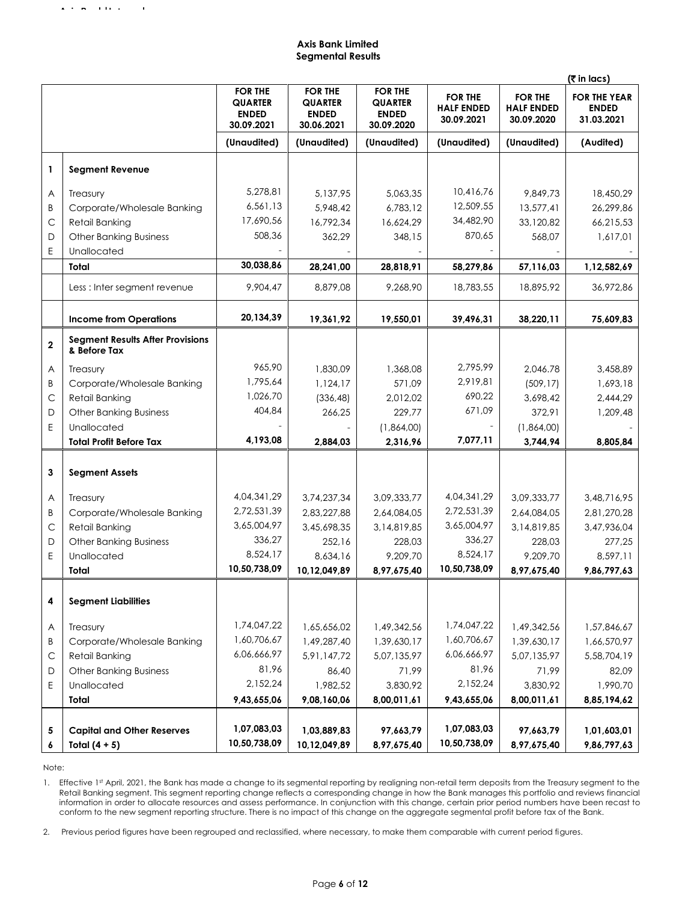## **Axis Bank Limited Segmental Results**

|              |                                                         |                                                                |                                                         |                                                         |                                                   |                                                   | $(5 \infty)$                                      |
|--------------|---------------------------------------------------------|----------------------------------------------------------------|---------------------------------------------------------|---------------------------------------------------------|---------------------------------------------------|---------------------------------------------------|---------------------------------------------------|
|              |                                                         | <b>FOR THE</b><br><b>QUARTER</b><br><b>ENDED</b><br>30.09.2021 | <b>FOR THE</b><br>QUARTER<br><b>ENDED</b><br>30.06.2021 | <b>FOR THE</b><br>QUARTER<br><b>ENDED</b><br>30.09.2020 | <b>FOR THE</b><br><b>HALF ENDED</b><br>30.09.2021 | <b>FOR THE</b><br><b>HALF ENDED</b><br>30.09.2020 | <b>FOR THE YEAR</b><br><b>ENDED</b><br>31.03.2021 |
|              |                                                         | (Unaudited)                                                    | (Unaudited)                                             | (Unaudited)                                             | (Unaudited)                                       | (Unaudited)                                       | (Audited)                                         |
| 1            | <b>Segment Revenue</b>                                  |                                                                |                                                         |                                                         |                                                   |                                                   |                                                   |
| A            | Treasury                                                | 5,278,81                                                       | 5,137,95                                                | 5,063,35                                                | 10,416,76                                         | 9.849.73                                          | 18,450,29                                         |
| Β            | Corporate/Wholesale Banking                             | 6,561,13                                                       | 5,948,42                                                | 6,783,12                                                | 12,509,55                                         | 13,577,41                                         | 26,299,86                                         |
| $\mathsf{C}$ | <b>Retail Banking</b>                                   | 17,690,56                                                      | 16,792,34                                               | 16,624,29                                               | 34,482,90                                         | 33,120,82                                         | 66,215,53                                         |
| D            | <b>Other Banking Business</b>                           | 508,36                                                         | 362,29                                                  | 348,15                                                  | 870,65                                            | 568,07                                            | 1,617,01                                          |
| E            | Unallocated                                             |                                                                |                                                         |                                                         |                                                   |                                                   |                                                   |
|              | Total                                                   | 30,038,86                                                      | 28,241,00                                               | 28,818,91                                               | 58,279,86                                         | 57,116,03                                         | 1,12,582,69                                       |
|              | Less : Inter segment revenue                            | 9,904,47                                                       | 8,879,08                                                | 9,268,90                                                | 18,783,55                                         | 18,895,92                                         | 36,972,86                                         |
|              | <b>Income from Operations</b>                           | 20,134,39                                                      | 19,361,92                                               | 19,550,01                                               | 39,496,31                                         | 38,220,11                                         | 75,609,83                                         |
| $\mathbf 2$  | <b>Segment Results After Provisions</b><br>& Before Tax |                                                                |                                                         |                                                         |                                                   |                                                   |                                                   |
| A            | Treasury                                                | 965,90                                                         | 1,830,09                                                | 1,368,08                                                | 2,795,99                                          | 2,046.78                                          | 3,458,89                                          |
| B            | Corporate/Wholesale Banking                             | 1,795,64                                                       | 1,124,17                                                | 571,09                                                  | 2,919,81                                          | (509, 17)                                         | 1,693,18                                          |
| C            | <b>Retail Banking</b>                                   | 1,026,70                                                       | (336, 48)                                               | 2,012,02                                                | 690,22                                            | 3,698,42                                          | 2,444,29                                          |
| D            | <b>Other Banking Business</b>                           | 404,84                                                         | 266,25                                                  | 229,77                                                  | 671,09                                            | 372,91                                            | 1,209,48                                          |
| E            | Unallocated                                             |                                                                |                                                         | (1,864,00)                                              |                                                   | (1,864,00)                                        |                                                   |
|              | <b>Total Profit Before Tax</b>                          | 4,193,08                                                       | 2,884,03                                                | 2,316,96                                                | 7,077,11                                          | 3,744,94                                          | 8,805,84                                          |
| 3            | <b>Segment Assets</b>                                   |                                                                |                                                         |                                                         |                                                   |                                                   |                                                   |
| A            | Treasury                                                | 4,04,341,29                                                    | 3,74,237,34                                             | 3,09,333,77                                             | 4,04,341,29                                       | 3,09,333,77                                       | 3,48,716,95                                       |
| Β            | Corporate/Wholesale Banking                             | 2,72,531,39                                                    | 2,83,227,88                                             | 2,64,084,05                                             | 2,72,531,39                                       | 2,64,084,05                                       | 2,81,270,28                                       |
| C            | Retail Banking                                          | 3,65,004,97                                                    | 3,45,698,35                                             | 3,14,819,85                                             | 3,65,004,97                                       | 3,14,819,85                                       | 3,47,936,04                                       |
| D            | <b>Other Banking Business</b>                           | 336,27                                                         | 252,16                                                  | 228,03                                                  | 336,27                                            | 228,03                                            | 277,25                                            |
| E            | Unallocated                                             | 8,524,17                                                       | 8,634,16                                                | 9,209,70                                                | 8,524,17                                          | 9,209,70                                          | 8,597,11                                          |
|              | Total                                                   | 10,50,738,09                                                   | 10,12,049,89                                            | 8,97,675,40                                             | 10,50,738,09                                      | 8,97,675,40                                       | 9,86,797,63                                       |
| 4            | <b>Segment Liabilities</b>                              |                                                                |                                                         |                                                         |                                                   |                                                   |                                                   |
| A            | Treasury                                                | 1,74,047,22                                                    | 1,65,656,02                                             | 1,49,342,56                                             | 1,74,047,22                                       | 1,49,342,56                                       | 1,57,846,67                                       |
| Β            | Corporate/Wholesale Banking                             | 1,60,706,67                                                    | 1,49,287,40                                             | 1,39,630,17                                             | 1,60,706,67                                       | 1,39,630,17                                       | 1,66,570,97                                       |
| $\mathsf C$  | <b>Retail Banking</b>                                   | 6,06,666,97                                                    | 5.91.147.72                                             | 5,07,135,97                                             | 6,06,666,97                                       | 5,07,135,97                                       | 5,58,704,19                                       |
| D            | <b>Other Banking Business</b>                           | 81,96                                                          | 86,40                                                   | 71,99                                                   | 81,96                                             | 71,99                                             | 82,09                                             |
| E            | Unallocated                                             | 2,152,24                                                       | 1,982,52                                                | 3,830,92                                                | 2,152,24                                          | 3,830,92                                          | 1,990,70                                          |
|              | Total                                                   | 9,43,655,06                                                    | 9,08,160,06                                             | 8,00,011,61                                             | 9,43,655,06                                       | 8,00,011,61                                       | 8,85,194,62                                       |
| 5            | <b>Capital and Other Reserves</b>                       | 1,07,083,03                                                    | 1,03,889,83                                             | 97,663,79                                               | 1,07,083,03                                       | 97,663,79                                         | 1,01,603,01                                       |
| 6            | Total $(4 + 5)$                                         | 10,50,738,09                                                   | 10,12,049,89                                            | 8,97,675,40                                             | 10,50,738,09                                      | 8,97,675,40                                       | 9,86,797,63                                       |
|              |                                                         |                                                                |                                                         |                                                         |                                                   |                                                   |                                                   |

Note:

1. Effective 1st April, 2021, the Bank has made a change to its segmental reporting by realigning non-retail term deposits from the Treasury segment to the Retail Banking segment. This segment reporting change reflects a corresponding change in how the Bank manages this portfolio and reviews financial information in order to allocate resources and assess performance. In conjunction with this change, certain prior period numbers have been recast to conform to the new segment reporting structure. There is no impact of this change on the aggregate segmental profit before tax of the Bank.

2. Previous period figures have been regrouped and reclassified, where necessary, to make them comparable with current period figures.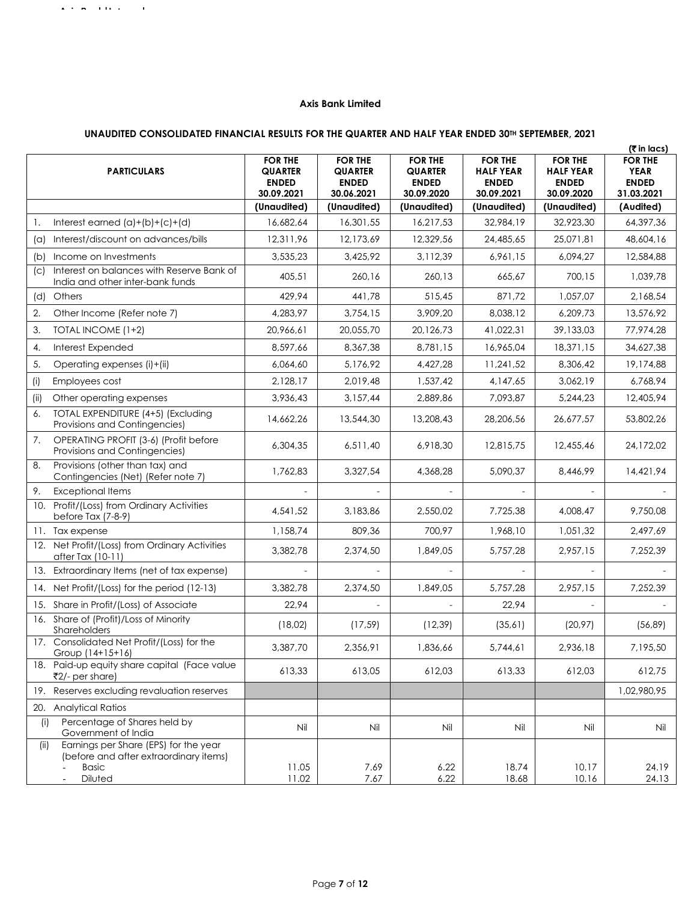# **Axis Bank Limited**

# **UNAUDITED CONSOLIDATED FINANCIAL RESULTS FOR THE QUARTER AND HALF YEAR ENDED 30TH SEPTEMBER, 2021**

|               |                                                                                 |                                                         |                                                                |                                                                |                                                                  |                                                                  | (₹ in lacs)                                                 |
|---------------|---------------------------------------------------------------------------------|---------------------------------------------------------|----------------------------------------------------------------|----------------------------------------------------------------|------------------------------------------------------------------|------------------------------------------------------------------|-------------------------------------------------------------|
|               | <b>PARTICULARS</b>                                                              | <b>FOR THE</b><br>QUARTER<br><b>ENDED</b><br>30.09.2021 | <b>FOR THE</b><br><b>QUARTER</b><br><b>ENDED</b><br>30.06.2021 | <b>FOR THE</b><br><b>QUARTER</b><br><b>ENDED</b><br>30.09.2020 | <b>FOR THE</b><br><b>HALF YEAR</b><br><b>ENDED</b><br>30.09.2021 | <b>FOR THE</b><br><b>HALF YEAR</b><br><b>ENDED</b><br>30.09.2020 | <b>FOR THE</b><br><b>YEAR</b><br><b>ENDED</b><br>31.03.2021 |
|               |                                                                                 | (Unaudited)                                             | (Unaudited)                                                    | (Unaudited)                                                    | (Unaudited)                                                      | (Unaudited)                                                      | (Audited)                                                   |
| 1.            | Interest earned $(a)+(b)+(c)+(d)$                                               | 16,682,64                                               | 16,301,55                                                      | 16.217.53                                                      | 32,984,19                                                        | 32,923,30                                                        | 64,397,36                                                   |
| $(\alpha)$    | Interest/discount on advances/bills                                             | 12,311,96                                               | 12,173,69                                                      | 12,329,56                                                      | 24,485,65                                                        | 25,071,81                                                        | 48,604,16                                                   |
| (b)           | Income on Investments                                                           | 3,535,23                                                | 3,425,92                                                       | 3,112,39                                                       | 6,961,15                                                         | 6,094,27                                                         | 12,584,88                                                   |
| $\mathcal{C}$ | Interest on balances with Reserve Bank of<br>India and other inter-bank funds   | 405,51                                                  | 260,16                                                         | 260,13                                                         | 665,67                                                           | 700,15                                                           | 1,039,78                                                    |
|               | (d) Others                                                                      | 429,94                                                  | 441,78                                                         | 515,45                                                         | 871,72                                                           | 1,057,07                                                         | 2,168,54                                                    |
| 2.            | Other Income (Refer note 7)                                                     | 4,283,97                                                | 3,754,15                                                       | 3,909,20                                                       | 8,038,12                                                         | 6,209,73                                                         | 13,576,92                                                   |
| 3.            | TOTAL INCOME (1+2)                                                              | 20,966,61                                               | 20,055,70                                                      | 20,126,73                                                      | 41,022,31                                                        | 39,133,03                                                        | 77,974,28                                                   |
| 4.            | Interest Expended                                                               | 8,597,66                                                | 8,367,38                                                       | 8,781,15                                                       | 16,965,04                                                        | 18,371,15                                                        | 34,627,38                                                   |
| 5.            | Operating expenses (i)+(ii)                                                     | 6,064,60                                                | 5,176,92                                                       | 4,427,28                                                       | 11,241,52                                                        | 8,306,42                                                         | 19,174,88                                                   |
| (i)           | Employees cost                                                                  | 2,128,17                                                | 2,019,48                                                       | 1,537,42                                                       | 4,147,65                                                         | 3,062,19                                                         | 6,768,94                                                    |
| (ii)          | Other operating expenses                                                        | 3,936,43                                                | 3,157,44                                                       | 2,889,86                                                       | 7,093,87                                                         | 5,244,23                                                         | 12,405,94                                                   |
| 6.            | TOTAL EXPENDITURE (4+5) (Excluding<br>Provisions and Contingencies)             | 14,662,26                                               | 13,544,30                                                      | 13,208,43                                                      | 28,206,56                                                        | 26,677,57                                                        | 53,802,26                                                   |
| 7.            | OPERATING PROFIT (3-6) (Profit before<br>Provisions and Contingencies)          | 6,304,35                                                | 6,511,40                                                       | 6,918,30                                                       | 12,815,75                                                        | 12,455,46                                                        | 24,172,02                                                   |
| 8.            | Provisions (other than tax) and<br>Contingencies (Net) (Refer note 7)           | 1,762,83                                                | 3,327,54                                                       | 4,368,28                                                       | 5,090,37                                                         | 8,446,99                                                         | 14,421,94                                                   |
| 9.            | <b>Exceptional Items</b>                                                        |                                                         |                                                                |                                                                |                                                                  |                                                                  |                                                             |
| 10.           | Profit/(Loss) from Ordinary Activities<br>before Tax (7-8-9)                    | 4,541,52                                                | 3,183,86                                                       | 2,550,02                                                       | 7,725,38                                                         | 4,008,47                                                         | 9,750,08                                                    |
|               | 11. Tax expense                                                                 | 1,158,74                                                | 809,36                                                         | 700,97                                                         | 1,968,10                                                         | 1,051,32                                                         | 2,497,69                                                    |
|               | 12. Net Profit/(Loss) from Ordinary Activities<br>after Tax (10-11)             | 3,382,78                                                | 2,374,50                                                       | 1,849,05                                                       | 5,757,28                                                         | 2,957,15                                                         | 7,252,39                                                    |
| 13.           | Extraordinary Items (net of tax expense)                                        |                                                         |                                                                |                                                                |                                                                  |                                                                  |                                                             |
| 14.           | Net Profit/(Loss) for the period (12-13)                                        | 3,382,78                                                | 2,374,50                                                       | 1,849,05                                                       | 5,757,28                                                         | 2,957,15                                                         | 7,252,39                                                    |
|               | 15. Share in Profit/(Loss) of Associate                                         | 22,94                                                   |                                                                |                                                                | 22,94                                                            |                                                                  |                                                             |
|               | 16. Share of (Profit)/Loss of Minority<br><b>Shareholders</b>                   | (18,02)                                                 | (17, 59)                                                       | (12, 39)                                                       | (35,61)                                                          | (20.97)                                                          | (56, 89)                                                    |
|               | 17. Consolidated Net Profit/(Loss) for the<br>Group (14+15+16)                  | 3,387,70                                                | 2,356,91                                                       | 1,836,66                                                       | 5,744,61                                                         | 2,936,18                                                         | 7,195,50                                                    |
|               | 18. Paid-up equity share capital (Face value<br>$\overline{52}$ /- per share)   | 613,33                                                  | 613,05                                                         | 612,03                                                         | 613,33                                                           | 612,03                                                           | 612,75                                                      |
|               | 19. Reserves excluding revaluation reserves                                     |                                                         |                                                                |                                                                |                                                                  |                                                                  | 1,02,980,95                                                 |
|               | 20. Analytical Ratios                                                           |                                                         |                                                                |                                                                |                                                                  |                                                                  |                                                             |
| (i)           | Percentage of Shares held by<br>Government of India                             | Nil                                                     | Nil                                                            | Nil                                                            | Nil                                                              | Nil                                                              | Nil                                                         |
| (ii)          | Earnings per Share (EPS) for the year<br>(before and after extraordinary items) |                                                         |                                                                |                                                                |                                                                  |                                                                  |                                                             |
|               | <b>Basic</b><br>Diluted                                                         | 11.05<br>11.02                                          | 7.69<br>7.67                                                   | 6.22<br>6.22                                                   | 18.74<br>18.68                                                   | 10.17<br>10.16                                                   | 24.19<br>24.13                                              |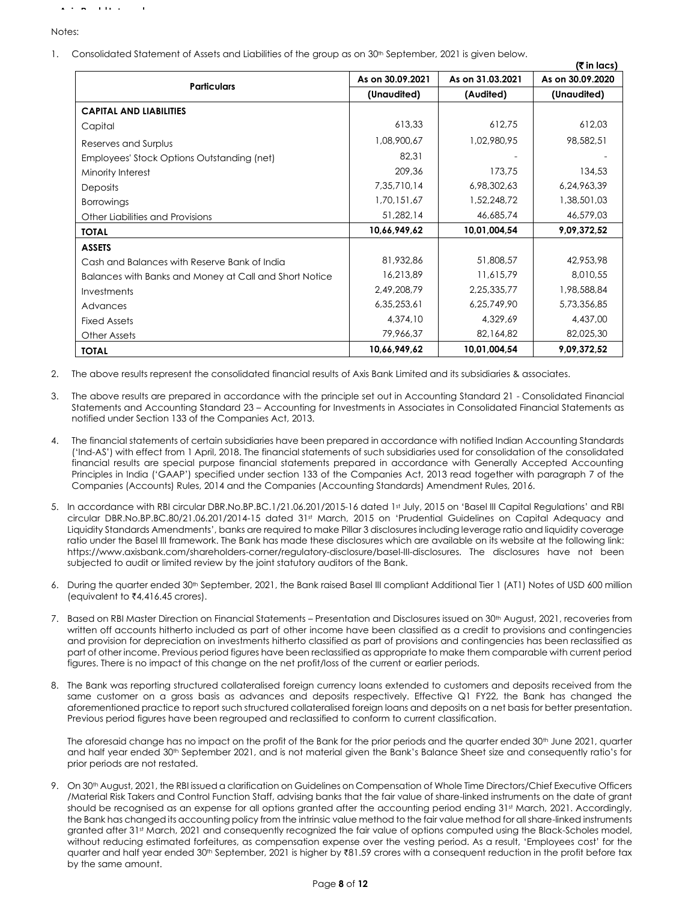Notes:

1. Consolidated Statement of Assets and Liabilities of the group as on 30<sup>th</sup> September, 2021 is given below.

|                                                        |                  |                  | (₹ in lacs)      |
|--------------------------------------------------------|------------------|------------------|------------------|
| <b>Particulars</b>                                     | As on 30.09.2021 | As on 31.03.2021 | As on 30.09.2020 |
|                                                        | (Unaudited)      | (Audited)        | (Unaudited)      |
| <b>CAPITAL AND LIABILITIES</b>                         |                  |                  |                  |
| Capital                                                | 613,33           | 612,75           | 612,03           |
| Reserves and Surplus                                   | 1,08,900,67      | 1,02,980,95      | 98,582,51        |
| Employees' Stock Options Outstanding (net)             | 82,31            |                  |                  |
| Minority Interest                                      | 209,36           | 173,75           | 134,53           |
| <b>Deposits</b>                                        | 7,35,710,14      | 6,98,302,63      | 6,24,963,39      |
| <b>Borrowings</b>                                      | 1,70,151,67      | 1,52,248,72      | 1,38,501,03      |
| Other Liabilities and Provisions                       | 51,282,14        | 46,685,74        | 46,579,03        |
| <b>TOTAL</b>                                           | 10,66,949,62     | 10,01,004,54     | 9,09,372,52      |
| <b>ASSETS</b>                                          |                  |                  |                  |
| Cash and Balances with Reserve Bank of India           | 81,932,86        | 51,808,57        | 42,953,98        |
| Balances with Banks and Money at Call and Short Notice | 16,213,89        | 11,615,79        | 8,010,55         |
| Investments                                            | 2,49,208,79      | 2,25,335,77      | 1,98,588,84      |
| Advances                                               | 6,35,253,61      | 6,25,749,90      | 5,73,356,85      |
| <b>Fixed Assets</b>                                    | 4,374,10         | 4,329,69         | 4,437,00         |
| <b>Other Assets</b>                                    | 79,966,37        | 82,164,82        | 82,025,30        |
| <b>TOTAL</b>                                           | 10,66,949,62     | 10,01,004,54     | 9,09,372,52      |

2. The above results represent the consolidated financial results of Axis Bank Limited and its subsidiaries & associates.

- 3. The above results are prepared in accordance with the principle set out in Accounting Standard 21 Consolidated Financial Statements and Accounting Standard 23 – Accounting for Investments in Associates in Consolidated Financial Statements as notified under Section 133 of the Companies Act, 2013.
- 4. The financial statements of certain subsidiaries have been prepared in accordance with notified Indian Accounting Standards ('Ind-AS') with effect from 1 April, 2018. The financial statements of such subsidiaries used for consolidation of the consolidated financial results are special purpose financial statements prepared in accordance with Generally Accepted Accounting Principles in India ('GAAP') specified under section 133 of the Companies Act, 2013 read together with paragraph 7 of the Companies (Accounts) Rules, 2014 and the Companies (Accounting Standards) Amendment Rules, 2016.
- 5. In accordance with RBI circular DBR.No.BP.BC.1/21.06.201/2015-16 dated 1st July, 2015 on 'Basel III Capital Regulations' and RBI circular DBR.No.BP.BC.80/21.06.201/2014-15 dated 31st March, 2015 on 'Prudential Guidelines on Capital Adequacy and Liquidity Standards Amendments', banks are required to make Pillar 3 disclosures including leverage ratio and liquidity coverage ratio under the Basel III framework. The Bank has made these disclosures which are available on its website at the following link: https://www.axisbank.com/shareholders-corner/regulatory-disclosure/basel-III-disclosures. The disclosures have not been subjected to audit or limited review by the joint statutory auditors of the Bank.
- 6. During the quarter ended 30<sup>th</sup> September, 2021, the Bank raised Basel III compliant Additional Tier 1 (AT1) Notes of USD 600 million (equivalent to  $\bar{\mathfrak{e}}$ 4,416.45 crores).
- 7. Based on RBI Master Direction on Financial Statements Presentation and Disclosures issued on 30<sup>th</sup> August, 2021, recoveries from written off accounts hitherto included as part of other income have been classified as a credit to provisions and contingencies and provision for depreciation on investments hitherto classified as part of provisions and contingencies has been reclassified as part of other income. Previous period figures have been reclassified as appropriate to make them comparable with current period figures. There is no impact of this change on the net profit/loss of the current or earlier periods.
- 8. The Bank was reporting structured collateralised foreign currency loans extended to customers and deposits received from the same customer on a gross basis as advances and deposits respectively. Effective Q1 FY22, the Bank has changed the aforementioned practice to report such structured collateralised foreign loans and deposits on a net basis for better presentation. Previous period figures have been regrouped and reclassified to conform to current classification.

The aforesaid change has no impact on the profit of the Bank for the prior periods and the quarter ended 30<sup>th</sup> June 2021, quarter and half year ended 30th September 2021, and is not material given the Bank's Balance Sheet size and consequently ratio's for prior periods are not restated.

9. On 30<sup>th</sup> August, 2021, the RBI issued a clarification on Guidelines on Compensation of Whole Time Directors/Chief Executive Officers /Material Risk Takers and Control Function Staff, advising banks that the fair value of share-linked instruments on the date of grant should be recognised as an expense for all options granted after the accounting period ending 31st March, 2021. Accordingly, the Bank has changed its accounting policy from the intrinsic value method to the fair value method for all share-linked instruments granted after 31st March, 2021 and consequently recognized the fair value of options computed using the Black-Scholes model, without reducing estimated forfeitures, as compensation expense over the vesting period. As a result, 'Employees cost' for the quarter and half year ended 30<sup>th</sup> September, 2021 is higher by ₹81.59 crores with a consequent reduction in the profit before tax by the same amount.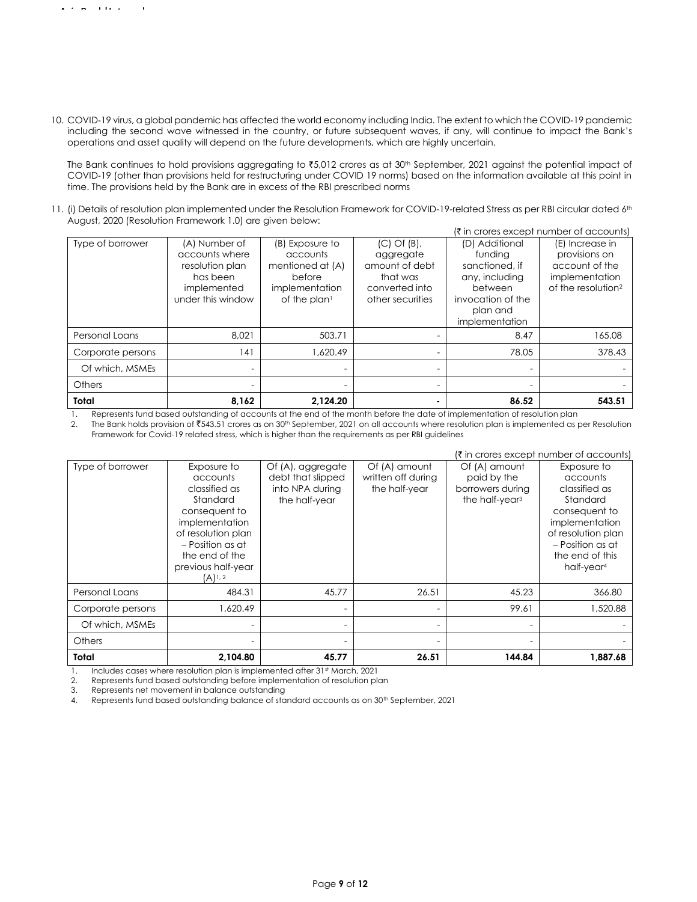10. COVID‐19 virus, a global pandemic has affected the world economy including India. The extent to which the COVID‐19 pandemic including the second wave witnessed in the country, or future subsequent waves, if any, will continue to impact the Bank's operations and asset quality will depend on the future developments, which are highly uncertain.

The Bank continues to hold provisions aggregating to ₹5,012 crores as at 30<sup>th</sup> September, 2021 against the potential impact of COVID‐19 (other than provisions held for restructuring under COVID 19 norms) based on the information available at this point in time. The provisions held by the Bank are in excess of the RBI prescribed norms

11. (i) Details of resolution plan implemented under the Resolution Framework for COVID-19-related Stress as per RBI circular dated 6th August, 2020 (Resolution Framework 1.0) are given below:

|                   |                                                                                                    |                                                                                             |                                                                                                   |                                                                                                                             | (₹ in crores except number of accounts)                                                                |
|-------------------|----------------------------------------------------------------------------------------------------|---------------------------------------------------------------------------------------------|---------------------------------------------------------------------------------------------------|-----------------------------------------------------------------------------------------------------------------------------|--------------------------------------------------------------------------------------------------------|
| Type of borrower  | (A) Number of<br>accounts where<br>resolution plan<br>has been<br>implemented<br>under this window | (B) Exposure to<br>accounts<br>mentioned at (A)<br>before<br>implementation<br>of the plan! | $(C)$ Of $(B)$ ,<br>aggregate<br>amount of debt<br>that was<br>converted into<br>other securities | (D) Additional<br>funding<br>sanctioned, if<br>any, including<br>between<br>invocation of the<br>plan and<br>implementation | (E) Increase in<br>provisions on<br>account of the<br>implementation<br>of the resolution <sup>2</sup> |
| Personal Loans    | 8.021                                                                                              | 503.71                                                                                      |                                                                                                   | 8.47                                                                                                                        | 165.08                                                                                                 |
| Corporate persons | 141                                                                                                | 1,620.49                                                                                    |                                                                                                   | 78.05                                                                                                                       | 378.43                                                                                                 |
| Of which, MSMEs   | $\overline{\phantom{0}}$                                                                           |                                                                                             |                                                                                                   |                                                                                                                             |                                                                                                        |
| Others            |                                                                                                    |                                                                                             |                                                                                                   |                                                                                                                             |                                                                                                        |
| <b>Total</b>      | 8,162                                                                                              | 2.124.20                                                                                    |                                                                                                   | 86.52                                                                                                                       | 543.51                                                                                                 |

1. Represents fund based outstanding of accounts at the end of the month before the date of implementation of resolution plan 2. The Bank holds provision of  $\overline{5}543.51$  crores as on 30<sup>th</sup> September, 2021 on all accounts where resolution plan is implemented as per Resolution Framework for Covid-19 related stress, which is higher than the requirements as per RBI guidelines

|                   |                                                                                                                                                                                                    |                                                                            |                                                      |                                                                                | (₹ in crores except number of accounts)                                                                                                                                        |
|-------------------|----------------------------------------------------------------------------------------------------------------------------------------------------------------------------------------------------|----------------------------------------------------------------------------|------------------------------------------------------|--------------------------------------------------------------------------------|--------------------------------------------------------------------------------------------------------------------------------------------------------------------------------|
| Type of borrower  | Exposure to<br>accounts<br>classified as<br>Standard<br>consequent to<br>implementation<br>of resolution plan<br>- Position as at<br>the end of the<br>previous half-year<br>$(A)$ <sup>1, 2</sup> | Of (A), aggregate<br>debt that slipped<br>into NPA during<br>the half-year | Of (A) amount<br>written off during<br>the half-year | Of (A) amount<br>paid by the<br>borrowers during<br>the half-year <sup>3</sup> | Exposure to<br>accounts<br>classified as<br>Standard<br>consequent to<br>implementation<br>of resolution plan<br>- Position as at<br>the end of this<br>half-year <sup>4</sup> |
| Personal Loans    | 484.31                                                                                                                                                                                             | 45.77                                                                      | 26.51                                                | 45.23                                                                          | 366.80                                                                                                                                                                         |
| Corporate persons | 1,620.49                                                                                                                                                                                           |                                                                            |                                                      | 99.61                                                                          | 1,520.88                                                                                                                                                                       |
| Of which, MSMEs   |                                                                                                                                                                                                    |                                                                            |                                                      |                                                                                |                                                                                                                                                                                |
| <b>Others</b>     |                                                                                                                                                                                                    |                                                                            |                                                      |                                                                                |                                                                                                                                                                                |
| Total             | 2,104.80                                                                                                                                                                                           | 45.77                                                                      | 26.51                                                | 144.84                                                                         | 1,887.68                                                                                                                                                                       |

1. Includes cases where resolution plan is implemented after 31st March, 2021

2. Represents fund based outstanding before implementation of resolution plan<br>3. Represents net movement in balance outstanding

3. Represents net movement in balance outstanding<br>4. Represents fund based outstanding balance of sta

Represents fund based outstanding balance of standard accounts as on 30<sup>th</sup> September, 2021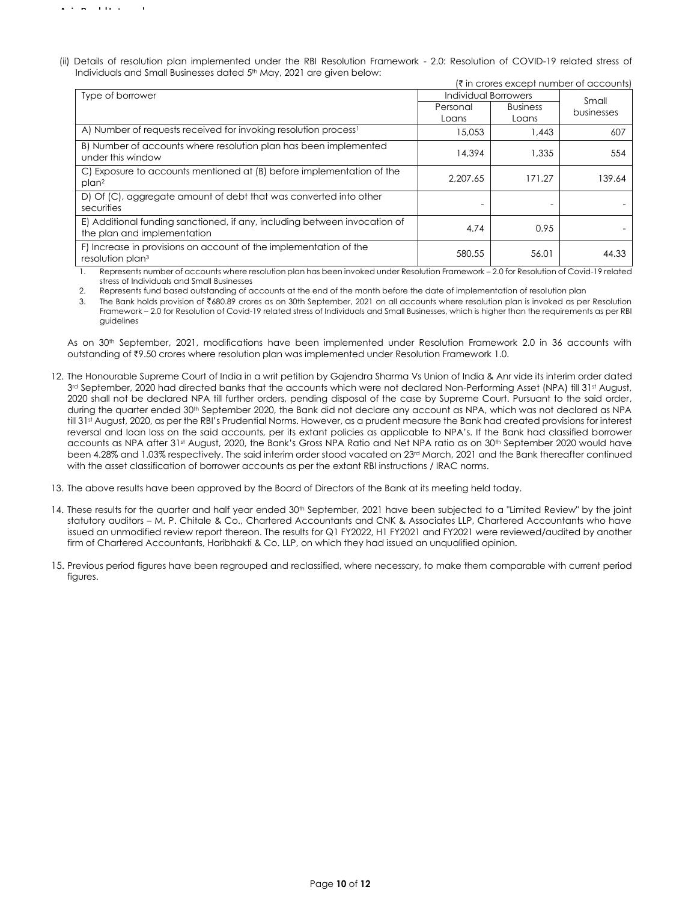(ii) Details of resolution plan implemented under the RBI Resolution Framework - 2.0: Resolution of COVID-19 related stress of Individuals and Small Businesses dated 5<sup>th</sup> May, 2021 are given below:

| (₹ in crores except number of accounts) |
|-----------------------------------------|
|-----------------------------------------|

| Type of borrower                                                                                         | <b>Individual Borrowers</b> |                 | Small      |
|----------------------------------------------------------------------------------------------------------|-----------------------------|-----------------|------------|
|                                                                                                          | Personal                    | <b>Business</b> | businesses |
|                                                                                                          | Loans                       | Loans           |            |
| A) Number of requests received for invoking resolution process <sup>1</sup>                              | 15,053                      | 1.443           | 607        |
| B) Number of accounts where resolution plan has been implemented<br>under this window                    | 14,394                      | 1.335           | 554        |
| C) Exposure to accounts mentioned at (B) before implementation of the<br>plan <sup>2</sup>               | 2.207.65                    | 171.27          | 139.64     |
| D) Of (C), aggregate amount of debt that was converted into other<br>securities                          |                             |                 |            |
| E) Additional funding sanctioned, if any, including between invocation of<br>the plan and implementation | 4.74                        | 0.95            |            |
| F) Increase in provisions on account of the implementation of the<br>resolution plan <sup>3</sup>        | 580.55                      | 56.01           | 44.33      |

1. Represents number of accounts where resolution plan has been invoked under Resolution Framework – 2.0 for Resolution of Covid-19 related stress of Individuals and Small Businesses

2. Represents fund based outstanding of accounts at the end of the month before the date of implementation of resolution plan

3. The Bank holds provision of `680.89 crores as on 30th September, 2021 on all accounts where resolution plan is invoked as per Resolution Framework – 2.0 for Resolution of Covid-19 related stress of Individuals and Small Businesses, which is higher than the requirements as per RBI guidelines

As on 30<sup>th</sup> September, 2021, modifications have been implemented under Resolution Framework 2.0 in 36 accounts with outstanding of  $\bar{\zeta}$ 9.50 crores where resolution plan was implemented under Resolution Framework 1.0.

- 12. The Honourable Supreme Court of India in a writ petition by Gajendra Sharma Vs Union of India & Anr vide its interim order dated 3rd September, 2020 had directed banks that the accounts which were not declared Non-Performing Asset (NPA) till 31st August, 2020 shall not be declared NPA till further orders, pending disposal of the case by Supreme Court. Pursuant to the said order, during the quarter ended 30<sup>th</sup> September 2020, the Bank did not declare any account as NPA, which was not declared as NPA till 31<sup>st</sup> August, 2020, as per the RBI's Prudential Norms. However, as a prudent measure the Bank had created provisions for interest reversal and loan loss on the said accounts, per its extant policies as applicable to NPA's. If the Bank had classified borrower accounts as NPA after 31st August, 2020, the Bank's Gross NPA Ratio and Net NPA ratio as on 30th September 2020 would have been 4.28% and 1.03% respectively. The said interim order stood vacated on 23rd March, 2021 and the Bank thereafter continued with the asset classification of borrower accounts as per the extant RBI instructions / IRAC norms.
- 13. The above results have been approved by the Board of Directors of the Bank at its meeting held today.
- 14. These results for the quarter and half year ended 30<sup>th</sup> September, 2021 have been subjected to a "Limited Review" by the joint statutory auditors – M. P. Chitale & Co., Chartered Accountants and CNK & Associates LLP, Chartered Accountants who have issued an unmodified review report thereon. The results for Q1 FY2022, H1 FY2021 and FY2021 were reviewed/audited by another firm of Chartered Accountants, Haribhakti & Co. LLP, on which they had issued an unqualified opinion.
- 15. Previous period figures have been regrouped and reclassified, where necessary, to make them comparable with current period figures.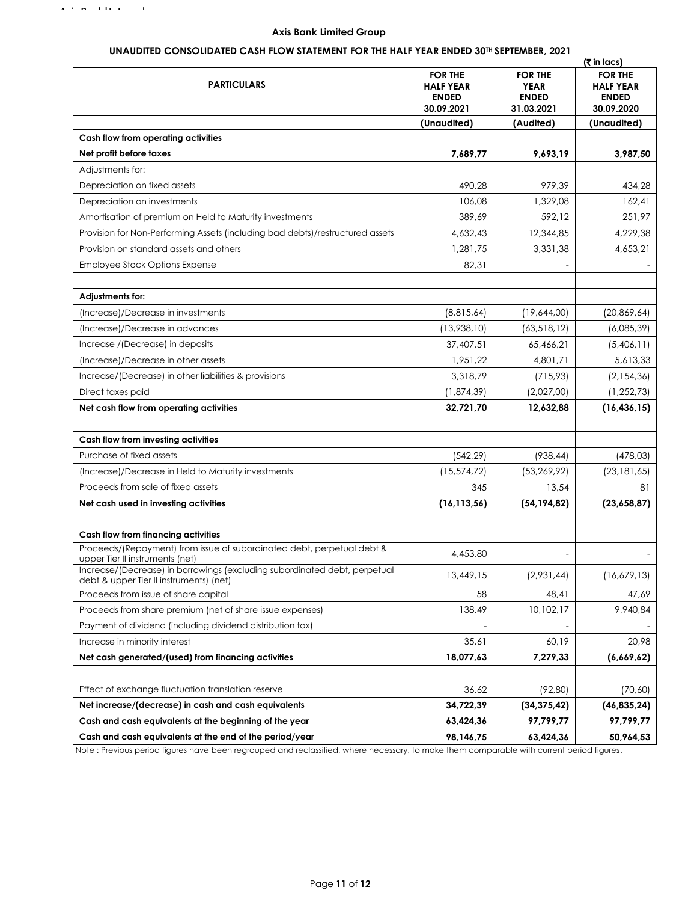## **Axis Bank Limited Group**

## **UNAUDITED CONSOLIDATED CASH FLOW STATEMENT FOR THE HALF YEAR ENDED 30TH SEPTEMBER, 2021**

| <b>PARTICULARS</b>                                                                                                   | <b>FOR THE</b><br><b>HALF YEAR</b><br><b>ENDED</b><br>30.09.2021 | <b>FOR THE</b><br><b>YEAR</b><br><b>ENDED</b><br>31.03.2021 | <b>FOR THE</b><br><b>HALF YEAR</b><br><b>ENDED</b><br>30.09.2020 |  |
|----------------------------------------------------------------------------------------------------------------------|------------------------------------------------------------------|-------------------------------------------------------------|------------------------------------------------------------------|--|
|                                                                                                                      | (Unaudited)                                                      | (Audited)                                                   | (Unaudited)                                                      |  |
| Cash flow from operating activities                                                                                  |                                                                  |                                                             |                                                                  |  |
| Net profit before taxes                                                                                              | 7,689,77                                                         | 9,693,19                                                    | 3,987,50                                                         |  |
| Adjustments for:                                                                                                     |                                                                  |                                                             |                                                                  |  |
| Depreciation on fixed assets                                                                                         | 490,28                                                           | 979,39                                                      | 434,28                                                           |  |
| Depreciation on investments                                                                                          | 106.08                                                           | 1,329,08                                                    | 162,41                                                           |  |
| Amortisation of premium on Held to Maturity investments                                                              | 389,69                                                           | 592,12                                                      | 251,97                                                           |  |
| Provision for Non-Performing Assets (including bad debts)/restructured assets                                        | 4,632,43                                                         | 12,344,85                                                   | 4,229,38                                                         |  |
| Provision on standard assets and others                                                                              | 1,281,75                                                         | 3,331,38                                                    | 4,653,21                                                         |  |
| Employee Stock Options Expense                                                                                       | 82,31                                                            |                                                             |                                                                  |  |
| <b>Adjustments for:</b>                                                                                              |                                                                  |                                                             |                                                                  |  |
| (Increase)/Decrease in investments                                                                                   | (8,815,64)                                                       | (19,644,00)                                                 | (20, 869, 64)                                                    |  |
| (Increase)/Decrease in advances                                                                                      | (13,938,10)                                                      | (63, 518, 12)                                               | (6,085,39)                                                       |  |
| Increase / (Decrease) in deposits                                                                                    | 37,407,51                                                        | 65,466,21                                                   | (5,406,11)                                                       |  |
| (Increase)/Decrease in other assets                                                                                  | 1,951,22                                                         | 4,801,71                                                    | 5,613,33                                                         |  |
| Increase/(Decrease) in other liabilities & provisions                                                                | 3,318,79                                                         | (715, 93)                                                   | (2, 154, 36)                                                     |  |
| Direct taxes paid                                                                                                    | (1,874,39)                                                       | (2,027,00)                                                  | (1, 252, 73)                                                     |  |
| Net cash flow from operating activities                                                                              | 32,721,70                                                        | 12,632,88                                                   | (16, 436, 15)                                                    |  |
|                                                                                                                      |                                                                  |                                                             |                                                                  |  |
| Cash flow from investing activities                                                                                  |                                                                  |                                                             |                                                                  |  |
| Purchase of fixed assets                                                                                             | (542, 29)                                                        | (938, 44)                                                   | (478,03)                                                         |  |
| (Increase)/Decrease in Held to Maturity investments                                                                  | (15, 574, 72)                                                    | (53, 269, 92)                                               | (23, 181, 65)                                                    |  |
| Proceeds from sale of fixed assets                                                                                   | 345                                                              | 13,54                                                       | 81                                                               |  |
| Net cash used in investing activities                                                                                | (16, 113, 56)                                                    | (54, 194, 82)                                               | (23,658,87)                                                      |  |
| Cash flow from financing activities                                                                                  |                                                                  |                                                             |                                                                  |  |
| Proceeds/(Repayment) from issue of subordinated debt, perpetual debt &<br>upper Tier II instruments (net)            | 4,453,80                                                         |                                                             |                                                                  |  |
| Increase/(Decrease) in borrowings (excluding subordinated debt, perpetual<br>debt & upper Tier II instruments) (net) | 13,449,15                                                        | (2,931,44)                                                  | (16,679,13)                                                      |  |
| Proceeds from issue of share capital                                                                                 | 58                                                               | 48,41                                                       | 47,69                                                            |  |
| Proceeds from share premium (net of share issue expenses)                                                            | 138,49                                                           | 10,102,17                                                   | 9,940,84                                                         |  |
| Payment of dividend (including dividend distribution tax)                                                            |                                                                  |                                                             |                                                                  |  |
| Increase in minority interest                                                                                        | 35,61                                                            | 60.19                                                       | 20,98                                                            |  |
| Net cash generated/(used) from financing activities                                                                  | 18,077,63                                                        | 7,279,33                                                    | (6,669,62)                                                       |  |
| Effect of exchange fluctuation translation reserve                                                                   | 36,62                                                            | (92, 80)                                                    | (70, 60)                                                         |  |
| Net increase/(decrease) in cash and cash equivalents                                                                 | 34,722,39                                                        | (34, 375, 42)                                               | (46, 835, 24)                                                    |  |
| Cash and cash equivalents at the beginning of the year                                                               | 63,424,36                                                        | 97,799,77                                                   | 97,799,77                                                        |  |
| Cash and cash equivalents at the end of the period/year                                                              | 98,146,75                                                        | 63,424,36                                                   | 50,964,53                                                        |  |

Note : Previous period figures have been regrouped and reclassified, where necessary, to make them comparable with current period figures.